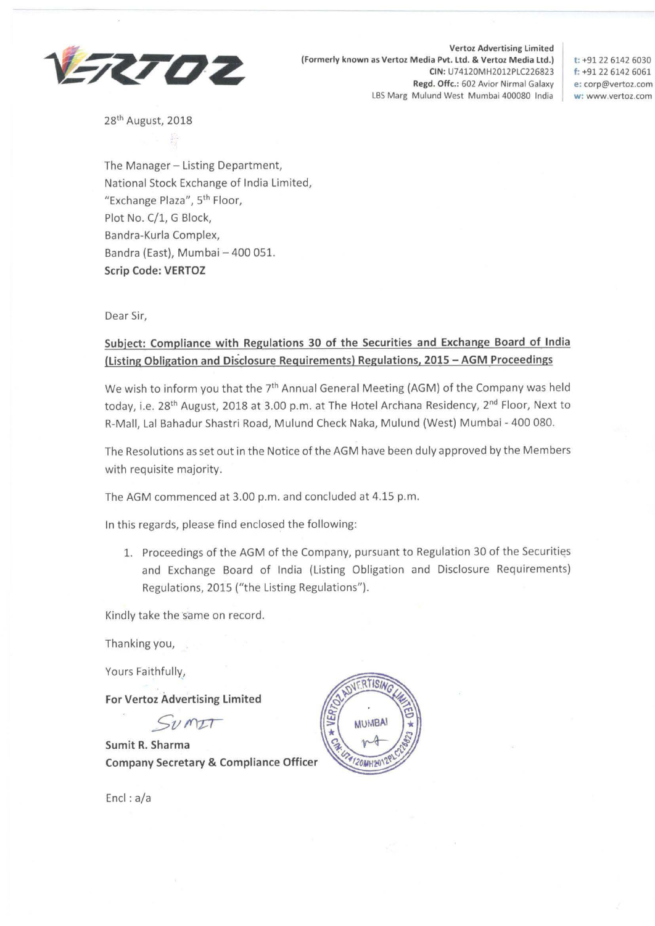

**Vertoz Advertising Limited {Formerly known as Vertoz Media Pvt. Ltd.** & **Vertoz Media Ltd.) CIN:** U74120MH2012PLC226823 **Regd. Offc.:** 602 Avior Nirmal Galaxy LBS Marg Mulund West Mumbai 400080 India

**t:** +91 22 6142 6030 **f:** +91 22 6142 6061 **e:** corp@vertoz.com **w:** www.vertoz.com

28th August, 2018

The Manager - Listing Department, National Stock Exchange of India Limited, "Exchange Plaza", 5th Floor, Plot No. C/1, G Block, Bandra-Kurla Complex, Bandra (East), Mumbai - 400 051. **Scrip Code: VERTOZ** 

Dear Sir,

## **Subject: Compliance with Regulations 30 of the Securities and Exchange Board of India (Listing Obligation and Disclosure Requirements) Regulations, 2015 -AGM Proceedings**

We wish to inform you that the 7<sup>th</sup> Annual General Meeting (AGM) of the Company was held today, i.e. 28<sup>th</sup> August, 2018 at 3.00 p.m. at The Hotel Archana Residency, 2<sup>nd</sup> Floor, Next to R-Mall, Lal Bahadur Shastri Road, Mulund Check Naka, Mulund (West) Mumbai - 400 080.

The Resolutions as set out in the Notice of the AGM have been duly approved by the Members with requisite majority.

The AGM commenced at 3.00 p.m. and concluded at 4.15 p.m.

In this regards, please find enclosed the following:

1. Proceedings of the AGM of the Company, pursuant to Regulation 30 of the Securities and Exchange Board of India (Listing Obligation and Disclosure Requirements) Regulations, 2015 ("the Listing Regulations").

Kindly take the same on record.

Thanking you,

Yours Faithfully,

**For Vertoz Advertising Limited** 

SUMIT

**Sumit R. Sharma Company Secretary** & **Compliance Officer** 



Encl: a/a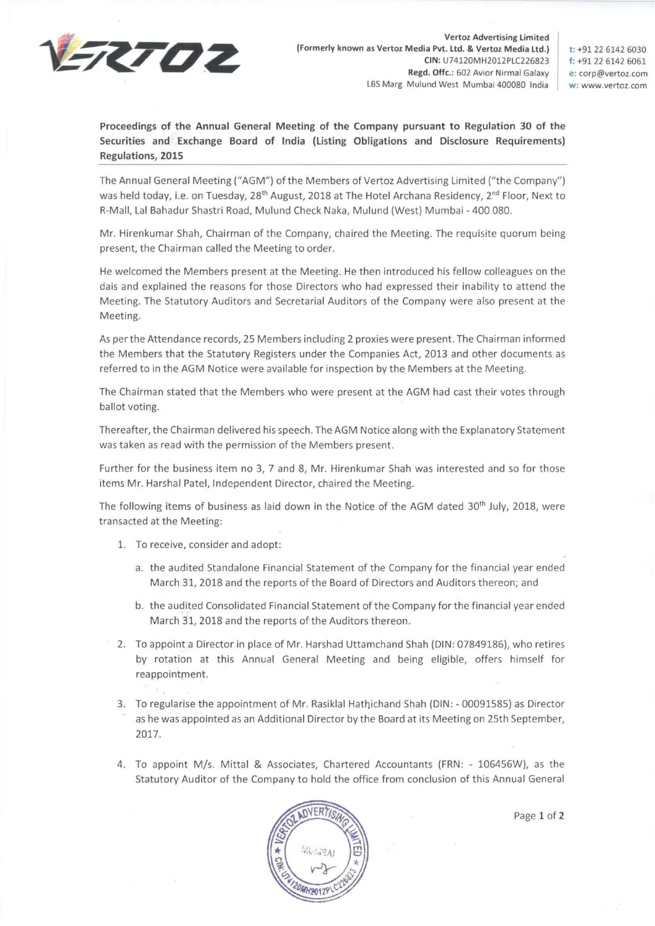

**Vertoz Advertising Limited (Formerly known as Vertoz Media Pvt. Ltd.** & **Vertoz Media Ltd.) CIN:** U74120MH2012PLC226823 **Regd. Offc.:** 602 Avior Nirmal Galaxy LBS Marg Mulund West Mumbai 400080 India

**t:** +91 22 6142 6030 **f:** +91 22 6142 6061 **e:** corp@vertoz.com **w:** www.vertoz.com

**Proceedings of the Annual General Meeting of the Company pursuant to Regulation 30 of the Securities and Exchange Board of India (Listing Obligations and Disclosure Requirements) Regulations, 2015** 

The Annual General Meeting ("AGM") of the Members of Vertoz Advertising Limited ("the Company") was held today, i.e. on Tuesday, 28<sup>th</sup> August, 2018 at The Hotel Archana Residency, 2<sup>nd</sup> Floor, Next to R-Mall, Lal Bahadur Shastri Road, Mulund Check Naka, Mulund (West) Mumbai - 400 080.

Mr. Hirenkumar Shah, Chairman of the Company, chaired the Meeting. The requisite quorum being present, the Chairman called the Meeting to order.

He welcomed the Members present at the Meeting. He then introduced his fellow colleagues on the dais and explained the reasons for those Directors who had expressed their inability to attend the Meeting. The Statutory Auditors and Secretarial Auditors of the Company were also present at the Meeting.

As per the Attendance records, 25 Members including 2 proxies were present. The Chairman informed the Members that the Statutery Registers under the Companies Act, 2013 and other documents as referred to in the AGM Notice were available for inspection by the Members at the Meeting.

The Chairman stated that the Members who were present at the AGM had cast their votes through ballot voting.

Thereafter, the Chairman delivered his speech. The AGM Notice along with the Explanatory Statement was taken as read with the permission of the Members present.

Further for the business item no 3, 7 and 8, Mr. Hirenkumar Shah was interested and so for those items Mr. Harshal Patel, Independent Director, chaired the Meeting.

The following items of business as laid down in the Notice of the AGM dated  $30<sup>th</sup>$  July, 2018, were transacted at the Meeting:

- 1. To receive, consider and adopt:
	- a. the audited Standalone Financial Statement of the Company for the financial year ended March 31, 2018 and the reports of the Board of Directors and Auditors thereon; and
	- b. the audited Consolidated Financial Statement of the Company for the financial year ended March 31, 2018 and the reports of the Auditors thereon.
- 2. To appoint a Director in place of Mr. Harshad Uttamchand Shah {DIN: 07849186), who retires by rotation at this Annual General Meeting and being eligible, offers himself for reappointment.
- 3. To regularise the appointment of Mr. Rasiklal Hathichand Shah (DIN: 00091585) as Director as he was appointed as an Additional Director by the Board at its Meeting on 25th September, 2017.
- 4. To appoint M/s. Mittal & Associates, Chartered Accountants (FRN: 106456W), as the Statutory Auditor of the Company to hold the office from conclusion of this Annual General



Page **1** of **2**